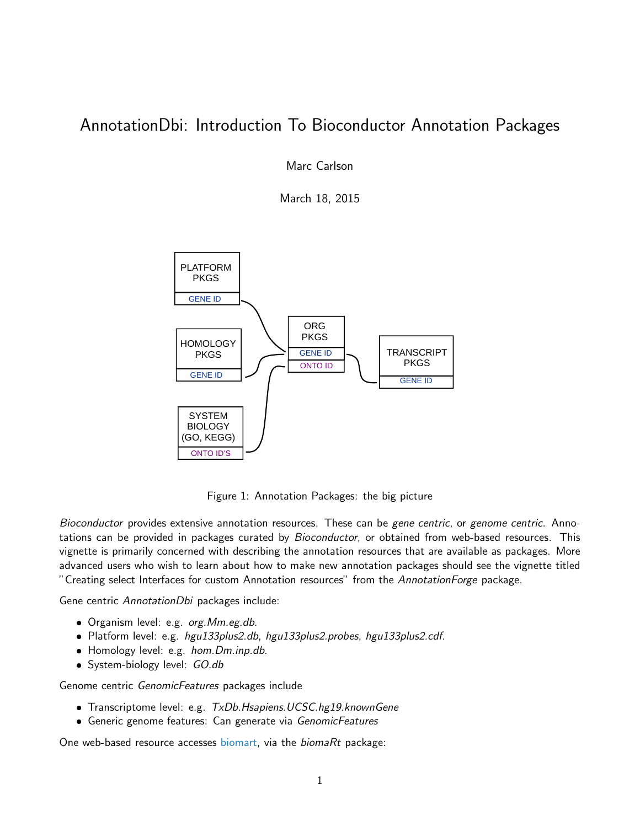# AnnotationDbi: Introduction To Bioconductor Annotation Packages

Marc Carlson

March 18, 2015



Figure 1: Annotation Packages: the big picture

Bioconductor provides extensive annotation resources. These can be gene centric, or genome centric. Annotations can be provided in packages curated by *Bioconductor*, or obtained from web-based resources. This vignette is primarily concerned with describing the annotation resources that are available as packages. More advanced users who wish to learn about how to make new annotation packages should see the vignette titled "Creating select Interfaces for custom Annotation resources" from the AnnotationForge package.

Gene centric AnnotationDbi packages include:

- Organism level: e.g. org. Mm. eg. db.
- Platform level: e.g. hgu133plus2.db, hgu133plus2.probes, hgu133plus2.cdf.
- $\bullet$  Homology level: e.g. *hom.Dm.inp.db.*
- System-biology level: GO.db

Genome centric GenomicFeatures packages include

- Transcriptome level: e.g. TxDb.Hsapiens.UCSC.hg19.knownGene
- Generic genome features: Can generate via GenomicFeatures

One web-based resource accesses [biomart,](http://www.biomart.org/) via the biomaRt package: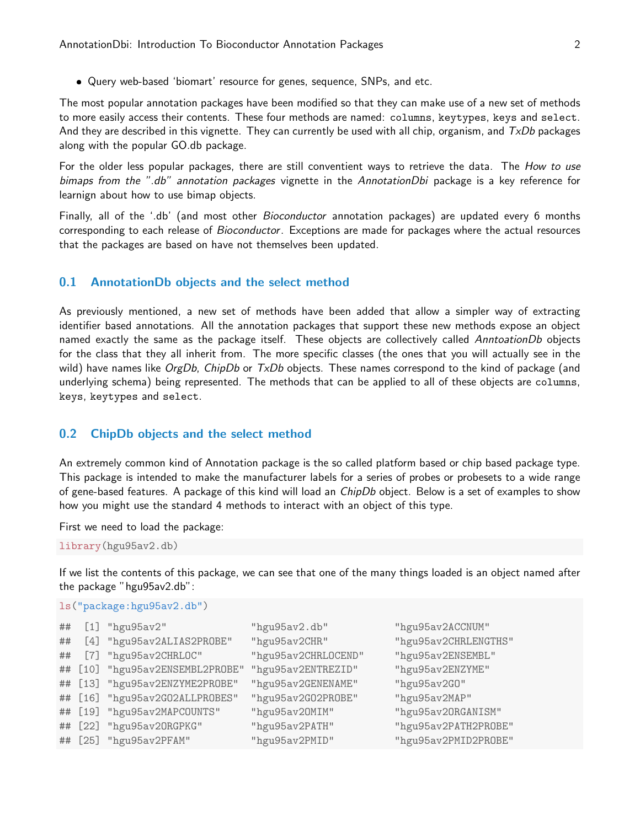Query web-based 'biomart' resource for genes, sequence, SNPs, and etc.

The most popular annotation packages have been modified so that they can make use of a new set of methods to more easily access their contents. These four methods are named: columns, keytypes, keys and select. And they are described in this vignette. They can currently be used with all chip, organism, and  $TxDb$  packages along with the popular GO.db package.

For the older less popular packages, there are still conventient ways to retrieve the data. The How to use bimaps from the ".db" annotation packages vignette in the AnnotationDbi package is a key reference for learnign about how to use bimap objects.

Finally, all of the '.db' (and most other *Bioconductor* annotation packages) are updated every 6 months corresponding to each release of Bioconductor. Exceptions are made for packages where the actual resources that the packages are based on have not themselves been updated.

# 0.1 AnnotationDb objects and the select method

As previously mentioned, a new set of methods have been added that allow a simpler way of extracting identifier based annotations. All the annotation packages that support these new methods expose an object named exactly the same as the package itself. These objects are collectively called AnntoationDb objects for the class that they all inherit from. The more specific classes (the ones that you will actually see in the wild) have names like  $O$ rgDb, ChipDb or  $TxDb$  objects. These names correspond to the kind of package (and underlying schema) being represented. The methods that can be applied to all of these objects are columns, keys, keytypes and select.

## 0.2 ChipDb objects and the select method

An extremely common kind of Annotation package is the so called platform based or chip based package type. This package is intended to make the manufacturer labels for a series of probes or probesets to a wide range of gene-based features. A package of this kind will load an *ChipDb* object. Below is a set of examples to show how you might use the standard 4 methods to interact with an object of this type.

First we need to load the package:

library(hgu95av2.db)

If we list the contents of this package, we can see that one of the many things loaded is an object named after the package "hgu95av2.db":

## ls("package:hgu95av2.db")

| ## | $[1]$ "hgu $95av2$ "            | "hgu95av2.db"       | "hgu95av2ACCNUM"     |
|----|---------------------------------|---------------------|----------------------|
| ## | [4] "hgu95av2ALIAS2PROBE"       | "hgu95av2CHR"       | "hgu95av2CHRLENGTHS" |
| ## | [7] "hgu95av2CHRLOC"            | "hgu95av2CHRLOCEND" | "hgu95av2ENSEMBL"    |
|    | ## [10] "hgu95av2ENSEMBL2PROBE" | "hgu95av2ENTREZID"  | "hgu95av2ENZYME"     |
|    | ## [13] "hgu95av2ENZYME2PROBE"  | "hgu95av2GENENAME"  | "hgu95av2G0"         |
|    | ## [16] "hgu95av2G02ALLPROBES"  | "hgu95av2G02PR0BE"  | "hgu95av2MAP"        |
|    | ## [19] "hgu95av2MAPCOUNTS"     | "hgu95av20MIM"      | "hgu95av20RGANISM"   |
|    | ## [22] "hgu95av20RGPKG"        | "hgu95av2PATH"      | "hgu95av2PATH2PROBE" |
|    | ## [25] "hgu95av2PFAM"          | "hgu95av2PMID"      | "hgu95av2PMID2PR0BE" |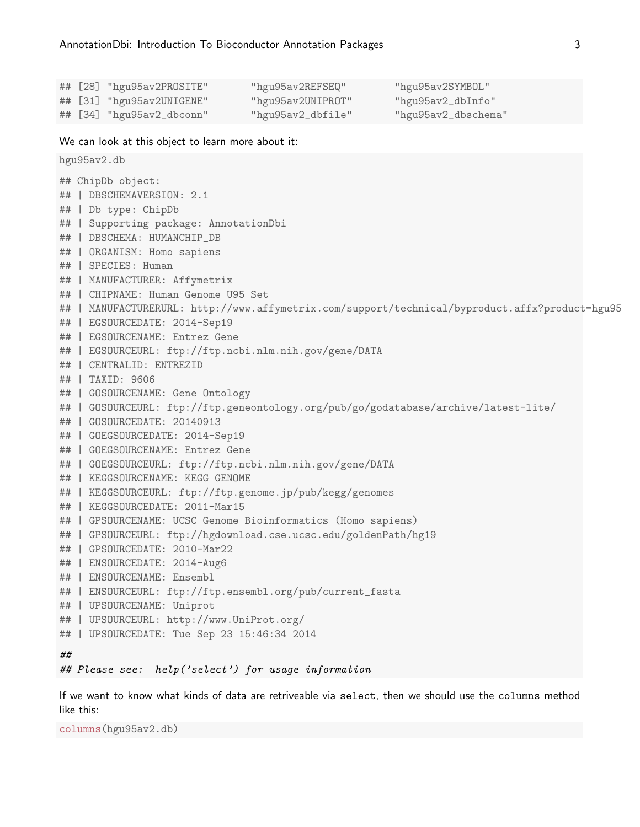|  | ## [28] "hgu95av2PROSITE" | "hgu95av2REFSEQ"  | "hgu95av2SYMBOL"    |
|--|---------------------------|-------------------|---------------------|
|  | ## [31] "hgu95av2UNIGENE" | "hgu95av2UNIPROT" | "hgu95av2_dbInfo"   |
|  | ## [34] "hgu95av2_dbconn" | "hgu95av2_dbfile" | "hgu95av2_dbschema" |

We can look at this object to learn more about it:

```
hgu95av2.db
## ChipDb object:
## | DBSCHEMAVERSION: 2.1
## | Db type: ChipDb
## | Supporting package: AnnotationDbi
## | DBSCHEMA: HUMANCHIP_DB
## | ORGANISM: Homo sapiens
## | SPECIES: Human
## | MANUFACTURER: Affymetrix
## | CHIPNAME: Human Genome U95 Set
## | MANUFACTURERURL: http://www.affymetrix.com/support/technical/byproduct.affx?product=hgu95
## | EGSOURCEDATE: 2014-Sep19
## | EGSOURCENAME: Entrez Gene
## | EGSOURCEURL: ftp://ftp.ncbi.nlm.nih.gov/gene/DATA
## | CENTRALID: ENTREZID
## | TAXID: 9606
## | GOSOURCENAME: Gene Ontology
## | GOSOURCEURL: ftp://ftp.geneontology.org/pub/go/godatabase/archive/latest-lite/
## | GOSOURCEDATE: 20140913
## | GOEGSOURCEDATE: 2014-Sep19
## | GOEGSOURCENAME: Entrez Gene
## | GOEGSOURCEURL: ftp://ftp.ncbi.nlm.nih.gov/gene/DATA
## | KEGGSOURCENAME: KEGG GENOME
## | KEGGSOURCEURL: ftp://ftp.genome.jp/pub/kegg/genomes
## | KEGGSOURCEDATE: 2011-Mar15
## | GPSOURCENAME: UCSC Genome Bioinformatics (Homo sapiens)
## | GPSOURCEURL: ftp://hgdownload.cse.ucsc.edu/goldenPath/hg19
## | GPSOURCEDATE: 2010-Mar22
## | ENSOURCEDATE: 2014-Aug6
## | ENSOURCENAME: Ensembl
## | ENSOURCEURL: ftp://ftp.ensembl.org/pub/current_fasta
## | UPSOURCENAME: Uniprot
## | UPSOURCEURL: http://www.UniProt.org/
## | UPSOURCEDATE: Tue Sep 23 15:46:34 2014
##
## Please see: help('select') for usage information
```
If we want to know what kinds of data are retriveable via select, then we should use the columns method like this:

columns(hgu95av2.db)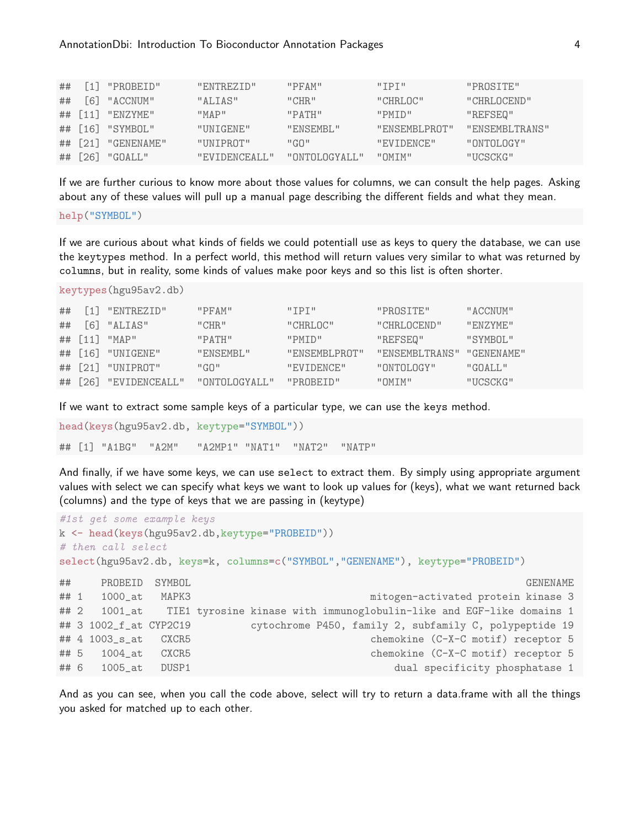|  | $\#$ # $[1]$ "PROBEID" | "ENTREZID"                  | "PFAM"     | $"$ TPT $"$                                                 | "PROSTTE"      |
|--|------------------------|-----------------------------|------------|-------------------------------------------------------------|----------------|
|  | $\#$ # [6] "ACCNUM"    | "ALTAS"                     | "CHR"      | "CHRI.OC"                                                   | "CHRI.OCEND"   |
|  | $\#$ # [11] "ENZYME"   | "MAP"                       | "PATH"     | "PMTD"                                                      | "REFSEQ"       |
|  | ## [16] "SYMBOL"       | "UNIGENE"                   | "ENSEMBI." | "ENSEMBLPROT"                                               | "ENSEMBLTRANS" |
|  | $\#$ # [21] "GENENAME" | "UNTPROT"                   | "G         | "EVIDENCE"                                                  | "ONTOLOGY"     |
|  | ## $[26]$ "GOALL"      | "EVIDENCEALL" "ONTOLOGYALL" |            | $\blacksquare$ $\blacksquare$ $\blacksquare$ $\blacksquare$ | "UCSCKG"       |

If we are further curious to know more about those values for columns, we can consult the help pages. Asking about any of these values will pull up a manual page describing the different fields and what they mean.

#### help("SYMBOL")

If we are curious about what kinds of fields we could potentiall use as keys to query the database, we can use the keytypes method. In a perfect world, this method will return values very similar to what was returned by columns, but in reality, some kinds of values make poor keys and so this list is often shorter.

```
keytypes(hgu95av2.db)
```

| ## | [1] "ENTREZID"              | "PFAM"          | $"$ TPT $"$   | "PROSTTE"      | "ACCNIJM"         |
|----|-----------------------------|-----------------|---------------|----------------|-------------------|
|    |                             | "CHR."          | "CHRI.OC"     | "CHRLOCEND"    | "FNZYME"          |
|    | ## $\lceil 11 \rceil$ "MAP" | "PATH"          | "PMTD"        | "REFSEQ"       | "SYMBOL"          |
|    | $\#$ # [16] "UNIGENE"       | "ENSEMBL"       | "ENSEMBLPROT" | "ENSEMBLTRANS" | "GENENAME"        |
|    | ## [21] "UNIPROT"           | "GO"            | "EVIDENCE"    | "ONTOLOGY"     | $"G\Omega AT.T."$ |
|    | ## [26] "EVIDENCEALL"       | " ONTOLOGYALL." | "PROBEID"     | " OMTM"        | "UCSCKG"          |

If we want to extract some sample keys of a particular type, we can use the keys method.

```
head(keys(hgu95av2.db, keytype="SYMBOL"))
## [1] "A1BG" "A2M" "A2MP1" "NAT1" "NAT2" "NATP"
```
And finally, if we have some keys, we can use select to extract them. By simply using appropriate argument values with select we can specify what keys we want to look up values for (keys), what we want returned back (columns) and the type of keys that we are passing in (keytype)

```
#1st get some example keys
k <- head(keys(hgu95av2.db,keytype="PROBEID"))
# then call select
select(hgu95av2.db, keys=k, columns=c("SYMBOL","GENENAME"), keytype="PROBEID")
## PROBEID SYMBOL GENENAME
## 1 1000_at MAPK3 mitogen-activated protein kinase 3
## 2 1001_at TIE1 tyrosine kinase with immunoglobulin-like and EGF-like domains 1
## 3 1002_f_at CYP2C19 cytochrome P450, family 2, subfamily C, polypeptide 19
## 4 1003_s_at CXCR5 chemokine (C-X-C motif) receptor 5
## 5 1004_at CXCR5 chemokine (C-X-C motif) receptor 5
## 6 1005_at DUSP1 dual specificity phosphatase 1
```
And as you can see, when you call the code above, select will try to return a data.frame with all the things you asked for matched up to each other.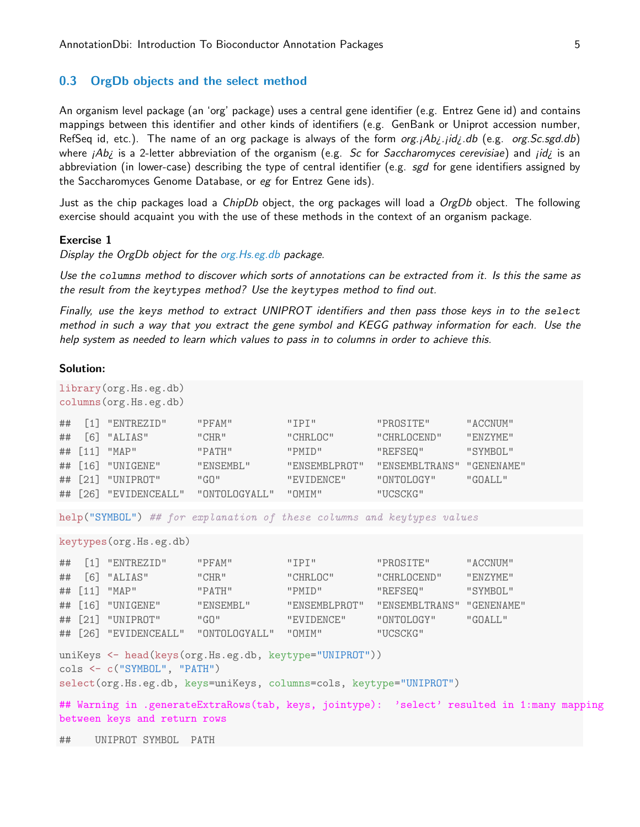# 0.3 OrgDb objects and the select method

An organism level package (an 'org' package) uses a central gene identifier (e.g. Entrez Gene id) and contains mappings between this identifier and other kinds of identifiers (e.g. GenBank or Uniprot accession number, RefSeq id, etc.). The name of an org package is always of the form  $org.jAbj.jidj.db$  (e.g. org.Sc.sgd.db) where  $iAb$ *i* is a 2-letter abbreviation of the organism (e.g. Sc for Saccharomyces cerevisiae) and  $jidj$  is an abbreviation (in lower-case) describing the type of central identifier (e.g. sgd for gene identifiers assigned by the Saccharomyces Genome Database, or eg for Entrez Gene ids).

Just as the chip packages load a *ChipDb* object, the org packages will load a *OrgDb* object. The following exercise should acquaint you with the use of these methods in the context of an organism package.

## Exercise 1

Display the OrgDb object for the org. Hs.eg.db package.

Use the columns method to discover which sorts of annotations can be extracted from it. Is this the same as the result from the keytypes method? Use the keytypes method to find out.

Finally, use the keys method to extract UNIPROT identifiers and then pass those keys in to the select method in such a way that you extract the gene symbol and KEGG pathway information for each. Use the help system as needed to learn which values to pass in to columns in order to achieve this.

#### Solution:

| library (org. Hs.eg.db)<br>columns (org.Hs.eg.db)                                                                                                                                    |        |                                                                                                                                         |                                                |                                                                                      |                                                                                             |                                             |  |
|--------------------------------------------------------------------------------------------------------------------------------------------------------------------------------------|--------|-----------------------------------------------------------------------------------------------------------------------------------------|------------------------------------------------|--------------------------------------------------------------------------------------|---------------------------------------------------------------------------------------------|---------------------------------------------|--|
| ##<br>##<br>##<br>##<br>##                                                                                                                                                           | $[11]$ | [1] "ENTREZID"<br>$[6]$ "ALIAS"<br>"MAP"<br>$[16]$ "UNIGENE"<br>$[21]$ "UNIPROT"<br>## [26] "EVIDENCEALL" "ONTOLOGYALL" "OMIM"          | "PFAM"<br>"CHR"<br>"PATH"<br>"ENSEMBL"<br>"GO" | "IPI"<br>"CHRLOC"<br>"PMID"<br>"ENSEMBLPROT"<br>"EVIDENCE"                           | "PROSITE"<br>"CHRLOCEND"<br>"REFSEQ"<br>"ENSEMBLTRANS" "GENENAME"<br>"ONTOLOGY"<br>"UCSCKG" | "ACCNUM"<br>"ENZYME"<br>"SYMBOL"<br>"GOALL" |  |
|                                                                                                                                                                                      |        |                                                                                                                                         |                                                | help("SYMBOL") ## for explanation of these columns and keytypes values               |                                                                                             |                                             |  |
|                                                                                                                                                                                      |        | keytypes (org.Hs.eg.db)                                                                                                                 |                                                |                                                                                      |                                                                                             |                                             |  |
| ##<br>##<br>##<br>##<br>##                                                                                                                                                           |        | $[1]$ "ENTREZID"<br>$[6]$ "ALIAS"<br>$[11]$ "MAP"<br>$[16]$ "UNIGENE"<br>$[21]$ "UNIPROT"<br>## [26] "EVIDENCEALL" "ONTOLOGYALL" "OMIM" | "PFAM"<br>"CHR"<br>"PATH"<br>"ENSEMBL"<br>"GO" | "IPI"<br>"CHRLOC"<br>"PMID"<br>"ENSEMBLPROT" "ENSEMBLTRANS" "GENENAME"<br>"EVIDENCE" | "PROSITE"<br>"CHRLOCEND"<br>"REFSEQ"<br>"ONTOLOGY"<br>"UCSCKG"                              | "ACCNUM"<br>"ENZYME"<br>"SYMBOL"<br>"GOALL" |  |
| uniKeys <- head(keys(org.Hs.eg.db, keytype="UNIPROT"))<br>$\text{cols} \leftarrow \text{c}("SYMBDL", "PATH")$<br>select(org.Hs.eg.db, keys=uniKeys, columns=cols, keytype="UNIPROT") |        |                                                                                                                                         |                                                |                                                                                      |                                                                                             |                                             |  |
| ## Warning in .generateExtraRows(tab, keys, jointype): 'select' resulted in 1:many mapping<br>between keys and return rows                                                           |        |                                                                                                                                         |                                                |                                                                                      |                                                                                             |                                             |  |
| ##                                                                                                                                                                                   |        | UNIPROT SYMBOL PATH                                                                                                                     |                                                |                                                                                      |                                                                                             |                                             |  |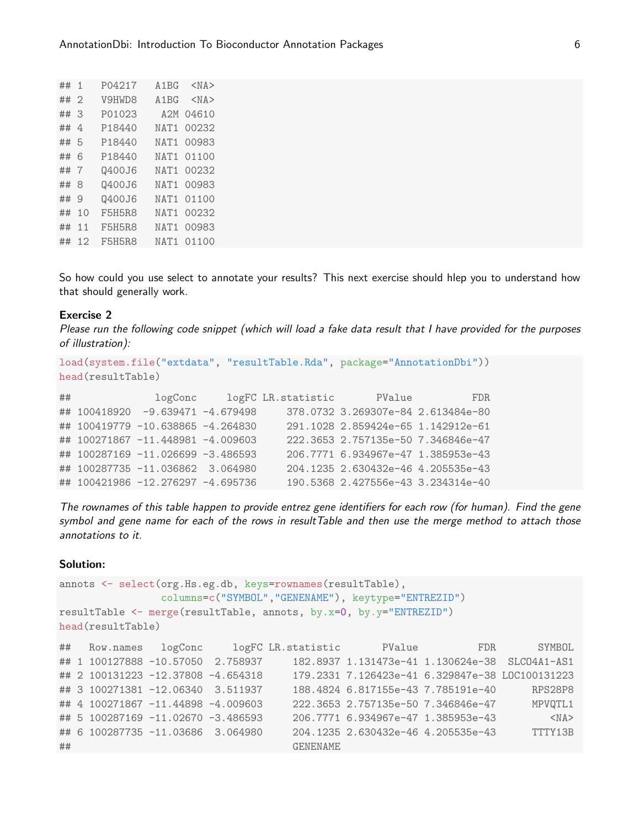| ## | 1              | P04217 | A1BG | $<$ NA $>$ |
|----|----------------|--------|------|------------|
| ## | $\mathfrak{D}$ | V9HWD8 | A1BG | $<$ NA $>$ |
| ## | З              | P01023 | A2M  | 04610      |
| ## | 4              | P18440 | NAT1 | 00232      |
| ## | 5              | P18440 | NAT1 | 00983      |
| ## | 6              | P18440 | NAT1 | 01100      |
| ## | 7              | Q400J6 | NAT1 | 00232      |
| ## | 8              | Q400J6 | NAT1 | 00983      |
| ## | 9              | Q400J6 | NAT1 | 01100      |
| ## | 10             | F5H5R8 | NAT1 | 00232      |
| ## | 11             | F5H5R8 | NAT1 | 00983      |
| ## | 12             | F5H5R8 | NAT1 | 01100      |
|    |                |        |      |            |

So how could you use select to annotate your results? This next exercise should hlep you to understand how that should generally work.

## Exercise 2

Please run the following code snippet (which will load a fake data result that I have provided for the purposes of illustration):

```
load(system.file("extdata", "resultTable.Rda", package="AnnotationDbi"))
head(resultTable)
## logConc logFC LR.statistic PValue FDR
## 100418920 -9.639471 -4.679498 378.0732 3.269307e-84 2.613484e-80
## 100419779 -10.638865 -4.264830 291.1028 2.859424e-65 1.142912e-61
## 100271867 -11.448981 -4.009603 222.3653 2.757135e-50 7.346846e-47
## 100287169 -11.026699 -3.486593 206.7771 6.934967e-47 1.385953e-43
```
## 100287735 -11.036862 3.064980 204.1235 2.630432e-46 4.205535e-43

## 100421986 -12.276297 -4.695736 190.5368 2.427556e-43 3.234314e-40 The rownames of this table happen to provide entrez gene identifiers for each row (for human). Find the gene symbol and gene name for each of the rows in resultTable and then use the merge method to attach those annotations to it.

#### Solution:

```
annots <- select(org.Hs.eg.db, keys=rownames(resultTable),
              columns=c("SYMBOL","GENENAME"), keytype="ENTREZID")
resultTable <- merge(resultTable, annots, by.x=0, by.y="ENTREZID")
head(resultTable)
## Row.names logConc logFC LR.statistic PValue FDR SYMBOL
## 1 100127888 -10.57050 2.758937 182.8937 1.131473e-41 1.130624e-38 SLC04A1-AS1
## 2 100131223 -12.37808 -4.654318 179.2331 7.126423e-41 6.329847e-38 LOC100131223
## 3 100271381 -12.06340 3.511937 188.4824 6.817155e-43 7.785191e-40 RPS28P8
## 4 100271867 -11.44898 -4.009603 222.3653 2.757135e-50 7.346846e-47 MPVQTL1
## 5 100287169 -11.02670 -3.486593 206.7771 6.934967e-47 1.385953e-43 <NA>
## 6 100287735 -11.03686 3.064980 204.1235 2.630432e-46 4.205535e-43 TTTY13B
## GENENAME
```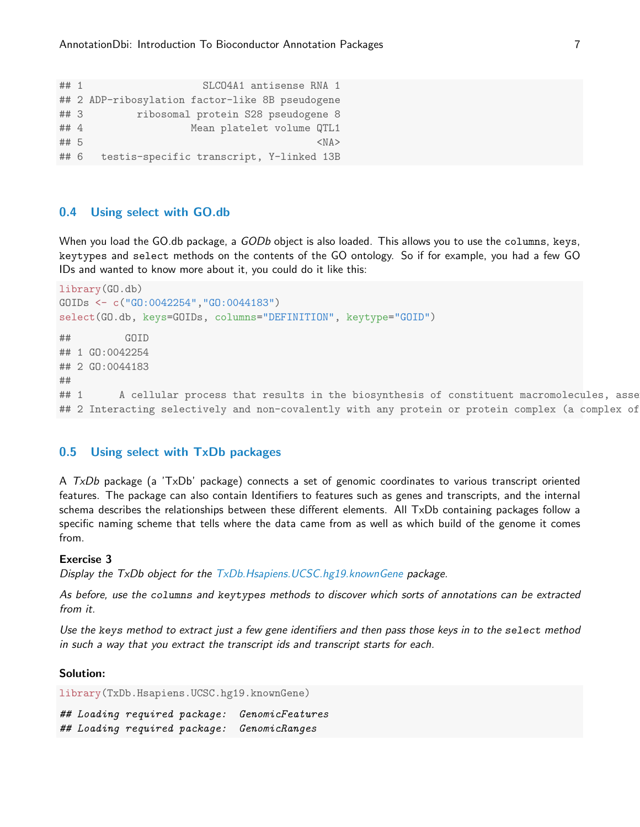```
## 1 SLCO4A1 antisense RNA 1
## 2 ADP-ribosylation factor-like 8B pseudogene
## 3 ribosomal protein S28 pseudogene 8
## 4 Mean platelet volume QTL1
## 5 <NA
## 6 testis-specific transcript, Y-linked 13B
```
# 0.4 Using select with GO.db

When you load the GO.db package, a GODb object is also loaded. This allows you to use the columns, keys, keytypes and select methods on the contents of the GO ontology. So if for example, you had a few GO IDs and wanted to know more about it, you could do it like this:

```
library(GO.db)
GOIDs <- c("GO:0042254","GO:0044183")
select(GO.db, keys=GOIDs, columns="DEFINITION", keytype="GOID")
## GOID
## 1 GO:0042254
## 2 GO:0044183
\# \### 1 A cellular process that results in the biosynthesis of constituent macromolecules, asse
## 2 Interacting selectively and non-covalently with any protein or protein complex (a complex of
```
# 0.5 Using select with TxDb packages

A TxDb package (a 'TxDb' package) connects a set of genomic coordinates to various transcript oriented features. The package can also contain Identifiers to features such as genes and transcripts, and the internal schema describes the relationships between these different elements. All TxDb containing packages follow a specific naming scheme that tells where the data came from as well as which build of the genome it comes from.

#### Exercise 3

Display the TxDb object for the  $TxDb.$ Hsapiens. UCSC.hg19.knownGene package.

As before, use the columns and keytypes methods to discover which sorts of annotations can be extracted from it.

Use the keys method to extract just a few gene identifiers and then pass those keys in to the select method in such a way that you extract the transcript ids and transcript starts for each.

#### Solution:

library(TxDb.Hsapiens.UCSC.hg19.knownGene)

## Loading required package: GenomicFeatures ## Loading required package: GenomicRanges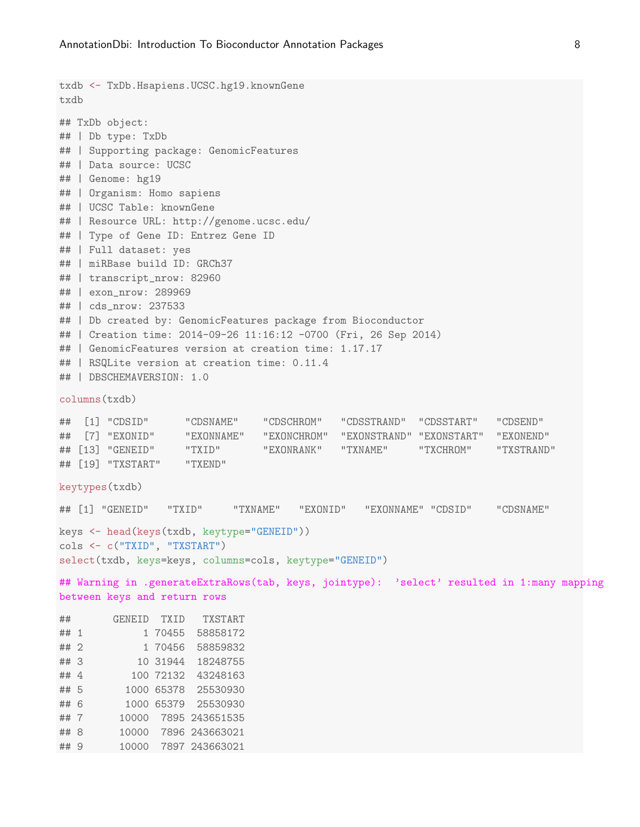## 9 10000 7897 243663021

```
txdb <- TxDb.Hsapiens.UCSC.hg19.knownGene
txdb
## TxDb object:
## | Db type: TxDb
## | Supporting package: GenomicFeatures
## | Data source: UCSC
## | Genome: hg19
## | Organism: Homo sapiens
## | UCSC Table: knownGene
## | Resource URL: http://genome.ucsc.edu/
## | Type of Gene ID: Entrez Gene ID
## | Full dataset: yes
## | miRBase build ID: GRCh37
## | transcript_nrow: 82960
## | exon_nrow: 289969
## | cds_nrow: 237533
## | Db created by: GenomicFeatures package from Bioconductor
## | Creation time: 2014-09-26 11:16:12 -0700 (Fri, 26 Sep 2014)
## | GenomicFeatures version at creation time: 1.17.17
## | RSQLite version at creation time: 0.11.4
## | DBSCHEMAVERSION: 1.0
columns(txdb)
## [1] "CDSID" "CDSNAME" "CDSCHROM" "CDSSTRAND" "CDSSTART" "CDSEND"
## [7] "EXONID" "EXONNAME" "EXONCHROM" "EXONSTRAND" "EXONSTART" "EXONEND"
## [13] "GENEID" "TXID" "EXONRANK" "TXNAME" "TXCHROM" "TXSTRAND"
## [19] "TXSTART" "TXEND"
keytypes(txdb)
## [1] "GENEID" "TXID" "TXNAME" "EXONID" "EXONNAME" "CDSID" "CDSNAME"
keys <- head(keys(txdb, keytype="GENEID"))
cols <- c("TXID", "TXSTART")
select(txdb, keys=keys, columns=cols, keytype="GENEID")
## Warning in .generateExtraRows(tab, keys, jointype): 'select' resulted in 1:many mapping
between keys and return rows
## GENEID TXID TXSTART
## 1 1 70455 58858172
## 2 1 70456 58859832
## 3 10 31944 18248755
## 4 100 72132 43248163
## 5 1000 65378 25530930
## 6 1000 65379 25530930
## 7 10000 7895 243651535
## 8 10000 7896 243663021
```